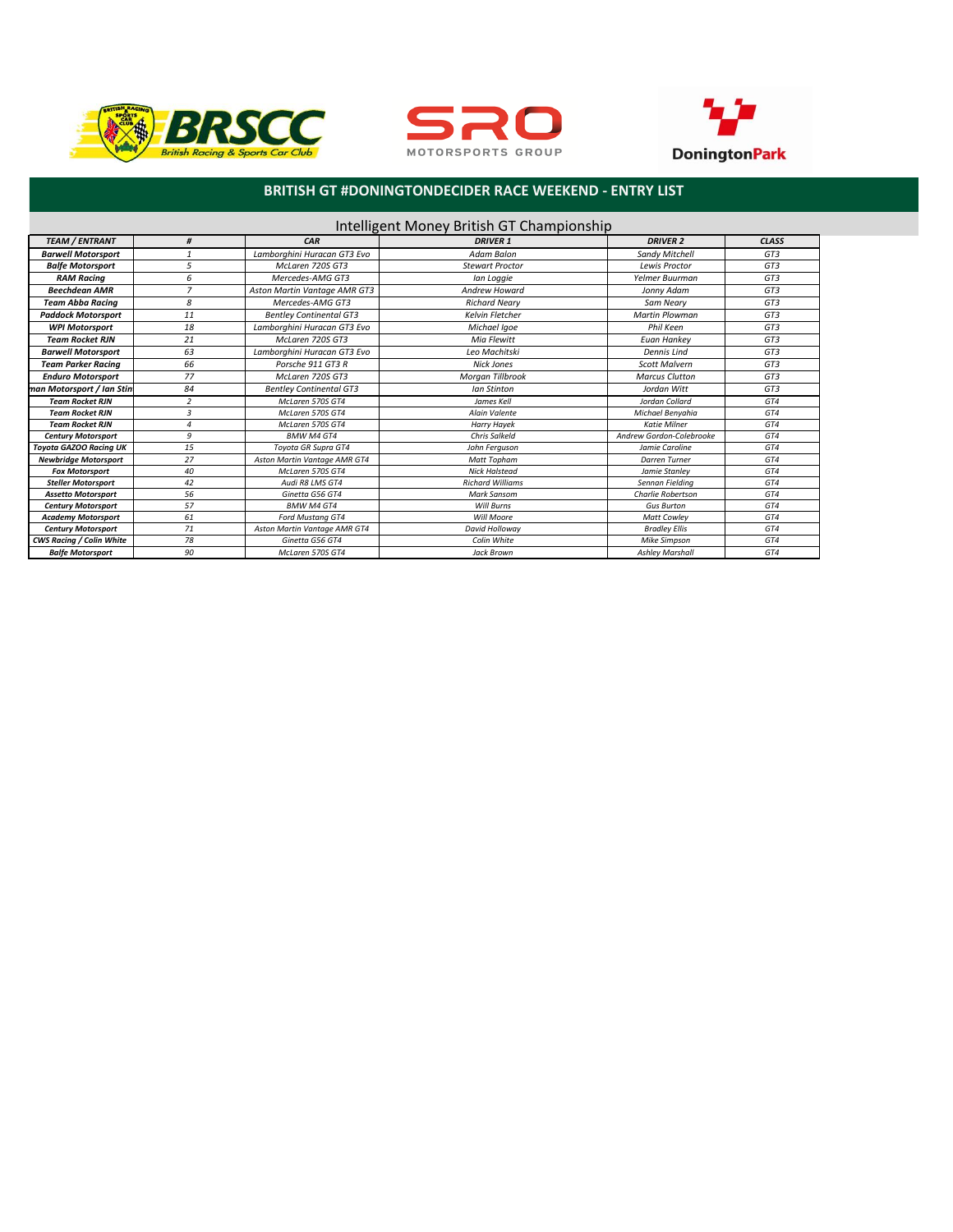





### **BRITISH GT #DONINGTONDECIDER RACE WEEKEND - ENTRY LIST**

| Intelligent Money British GT Championship |                |                                |                         |                          |                  |
|-------------------------------------------|----------------|--------------------------------|-------------------------|--------------------------|------------------|
| <b>TEAM / ENTRANT</b>                     | #              | CAR                            | <b>DRIVER 1</b>         | <b>DRIVER 2</b>          | <b>CLASS</b>     |
| <b>Barwell Motorsport</b>                 |                | Lamborghini Huracan GT3 Evo    | Adam Balon              | Sandy Mitchell           | G <sub>T.3</sub> |
| <b>Balfe Motorsport</b>                   | 5              | McLaren 720S GT3               | <b>Stewart Proctor</b>  | Lewis Proctor            | G <sub>T.3</sub> |
| <b>RAM Racina</b>                         | 6              | Mercedes-AMG GT3               | Ian Loggie              | Yelmer Buurman           | GT3              |
| <b>Beechdean AMR</b>                      | $\overline{7}$ | Aston Martin Vantage AMR GT3   | <b>Andrew Howard</b>    | Jonny Adam               | GT3              |
| <b>Team Abba Racing</b>                   | 8              | Mercedes-AMG GT3               | <b>Richard Neary</b>    | Sam Neary                | GT3              |
| <b>Paddock Motorsport</b>                 | 11             | <b>Bentley Continental GT3</b> | Kelvin Fletcher         | <b>Martin Plowman</b>    | GT3              |
| <b>WPI Motorsport</b>                     | 18             | Lamborghini Huracan GT3 Evo    | Michael Igoe            | Phil Keen                | GT3              |
| <b>Team Rocket RJN</b>                    | 21             | McLaren 720S GT3               | Mia Flewitt             | Euan Hankey              | GT3              |
| <b>Barwell Motorsport</b>                 | 63             | Lamborghini Huracan GT3 Evo    | Leo Machitski           | Dennis Lind              | G <sub>T.3</sub> |
| <b>Team Parker Racina</b>                 | 66             | Porsche 911 GT3 R              | Nick Jones              | <b>Scott Malvern</b>     | GT3              |
| <b>Enduro Motorsport</b>                  | 77             | McLaren 720S GT3               | Morgan Tillbrook        | <b>Marcus Clutton</b>    | GT3              |
| man Motorsport / Ian Stini                | 84             | <b>Bentley Continental GT3</b> | Ian Stinton             | Jordan Witt              | GT3              |
| <b>Team Rocket RJN</b>                    | $\overline{2}$ | McLaren 570S GT4               | James Kell              | Jordan Collard           | GT4              |
| <b>Team Rocket RJN</b>                    | $\overline{3}$ | McLaren 570S GT4               | Alain Valente           | Michael Benyahia         | GT4              |
| <b>Team Rocket RJN</b>                    | 4              | McLaren 570S GT4               | <b>Harry Hayek</b>      | <b>Katie Milner</b>      | GT4              |
| <b>Century Motorsport</b>                 | 9              | <b>BMW M4 GT4</b>              | <b>Chris Salkeld</b>    | Andrew Gordon-Colebrooke | GT4              |
| <b>Toyota GAZOO Racing UK</b>             | 15             | Toyota GR Supra GT4            | John Ferguson           | Jamie Caroline           | GT4              |
| <b>Newbridge Motorsport</b>               | 27             | Aston Martin Vantage AMR GT4   | Matt Topham             | <b>Darren Turner</b>     | GT4              |
| <b>Fox Motorsport</b>                     | 40             | McLaren 570S GT4               | <b>Nick Halstead</b>    | Jamie Stanley            | GT4              |
| <b>Steller Motorsport</b>                 | 42             | Audi R8 LMS GT4                | <b>Richard Williams</b> | Sennan Fieldina          | GT4              |
| <b>Assetto Motorsport</b>                 | 56             | Ginetta G56 GT4                | Mark Sansom             | Charlie Robertson        | GT4              |
| <b>Century Motorsport</b>                 | 57             | <b>BMW M4 GT4</b>              | Will Burns              | <b>Gus Burton</b>        | GT4              |
| <b>Academy Motorsport</b>                 | 61             | Ford Mustang GT4               | Will Moore              | <b>Matt Cowlev</b>       | GT4              |
| <b>Century Motorsport</b>                 | 71             | Aston Martin Vantage AMR GT4   | David Hollowav          | <b>Bradley Ellis</b>     | GT4              |
| <b>CWS Racing / Colin White</b>           | 78             | Ginetta G56 GT4                | Colin White             | <b>Mike Simpson</b>      | GT4              |
| <b>Balfe Motorsport</b>                   | 90             | McLaren 570S GT4               | Jack Brown              | <b>Ashley Marshall</b>   | GT4              |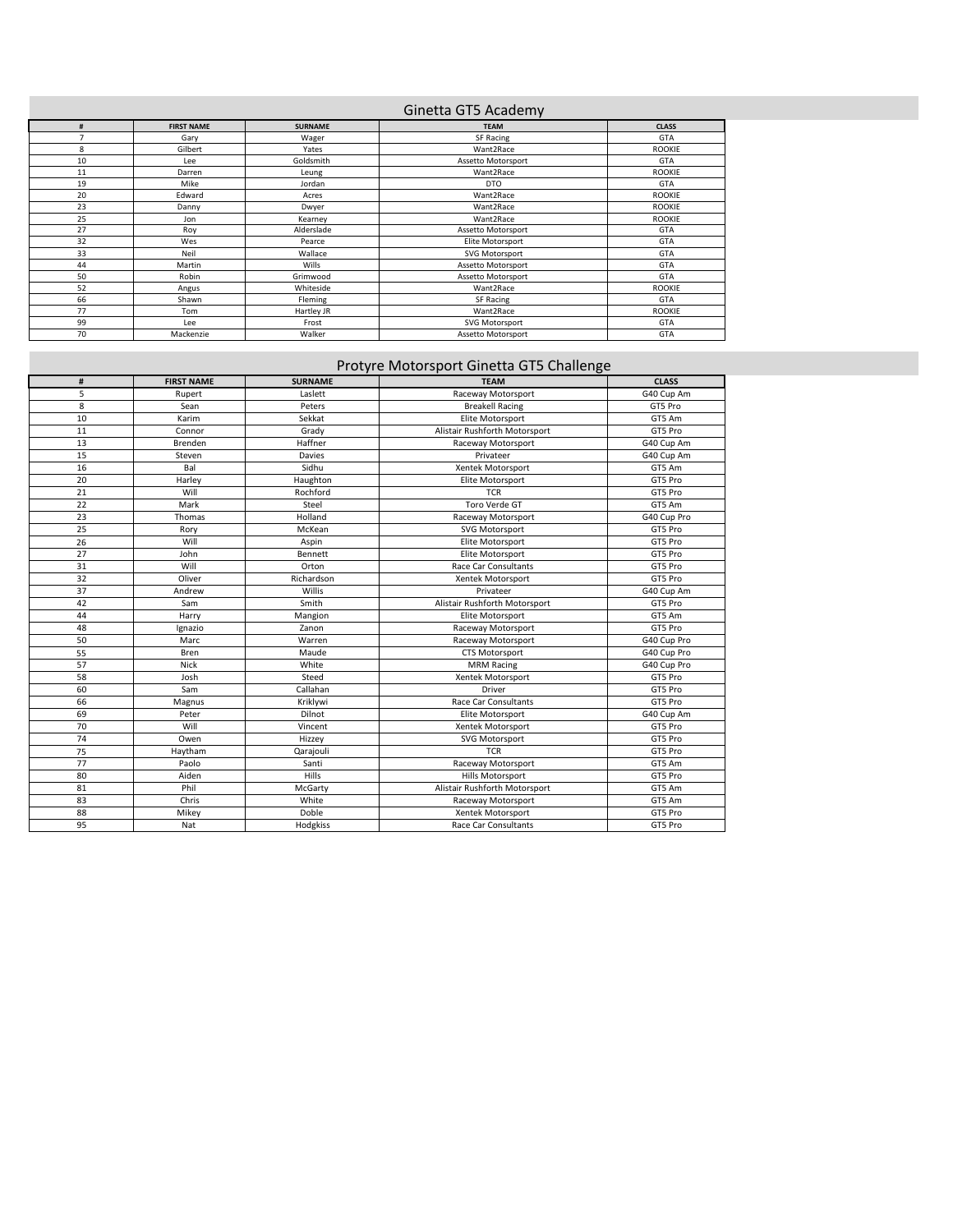## Ginetta GT5 Academy

| #  | <b>FIRST NAME</b> | <b>SURNAME</b> | <b>TEAM</b>        | <b>CLASS</b>  |
|----|-------------------|----------------|--------------------|---------------|
|    | Gary              | Wager          | SF Racing          | <b>GTA</b>    |
| 8  | Gilbert           | Yates          | Want2Race          | <b>ROOKIE</b> |
| 10 | Lee               | Goldsmith      | Assetto Motorsport | <b>GTA</b>    |
| 11 | Darren            | Leung          | Want2Race          | <b>ROOKIE</b> |
| 19 | Mike              | Jordan         | <b>DTO</b>         | <b>GTA</b>    |
| 20 | Edward            | Acres          | Want2Race          | <b>ROOKIE</b> |
| 23 | Danny             | Dwyer          | Want2Race          | <b>ROOKIE</b> |
| 25 | Jon               | Kearney        | Want2Race          | <b>ROOKIE</b> |
| 27 | Roy               | Alderslade     | Assetto Motorsport | <b>GTA</b>    |
| 32 | Wes               | Pearce         | Elite Motorsport   | <b>GTA</b>    |
| 33 | Neil              | Wallace        | SVG Motorsport     | <b>GTA</b>    |
| 44 | Martin            | Wills          | Assetto Motorsport | <b>GTA</b>    |
| 50 | Robin             | Grimwood       | Assetto Motorsport | <b>GTA</b>    |
| 52 | Angus             | Whiteside      | Want2Race          | <b>ROOKIE</b> |
| 66 | Shawn             | Fleming        | SF Racing          | <b>GTA</b>    |
| 77 | Tom               | Hartley JR     | Want2Race          | <b>ROOKIE</b> |
| 99 | Lee               | Frost          | SVG Motorsport     | <b>GTA</b>    |
| 70 | Mackenzie         | Walker         | Assetto Motorsport | GTA           |

# Protyre Motorsport Ginetta GT5 Challenge

| #  | <b>FIRST NAME</b> | <b>SURNAME</b> | <b>TEAM</b>                   | <b>CLASS</b> |
|----|-------------------|----------------|-------------------------------|--------------|
| 5  | Rupert            | Laslett        | Raceway Motorsport            | G40 Cup Am   |
| 8  | Sean              | Peters         | <b>Breakell Racing</b>        | GT5 Pro      |
| 10 | Karim             | Sekkat         | Elite Motorsport              | GT5 Am       |
| 11 | Connor            | Grady          | Alistair Rushforth Motorsport | GT5 Pro      |
| 13 | Brenden           | Haffner        | Raceway Motorsport            | G40 Cup Am   |
| 15 | Steven            | Davies         | Privateer                     | G40 Cup Am   |
| 16 | Bal               | Sidhu          | Xentek Motorsport             | GT5 Am       |
| 20 | Harley            | Haughton       | Elite Motorsport              | GT5 Pro      |
| 21 | Will              | Rochford       | <b>TCR</b>                    | GT5 Pro      |
| 22 | Mark              | Steel          | Toro Verde GT                 | GT5 Am       |
| 23 | Thomas            | Holland        | Raceway Motorsport            | G40 Cup Pro  |
| 25 | Rory              | McKean         | <b>SVG Motorsport</b>         | GT5 Pro      |
| 26 | Will              | Aspin          | Elite Motorsport              | GT5 Pro      |
| 27 | John              | Bennett        | Elite Motorsport              | GT5 Pro      |
| 31 | Will              | Orton          | Race Car Consultants          | GT5 Pro      |
| 32 | Oliver            | Richardson     | Xentek Motorsport             | GT5 Pro      |
| 37 | Andrew            | Willis         | Privateer                     | G40 Cup Am   |
| 42 | Sam               | Smith          | Alistair Rushforth Motorsport | GT5 Pro      |
| 44 | Harry             | Mangion        | Elite Motorsport              | GT5 Am       |
| 48 | Ignazio           | Zanon          | Raceway Motorsport            | GT5 Pro      |
| 50 | Marc              | Warren         | Raceway Motorsport            | G40 Cup Pro  |
| 55 | Bren              | Maude          | <b>CTS Motorsport</b>         | G40 Cup Pro  |
| 57 | <b>Nick</b>       | White          | <b>MRM Racing</b>             | G40 Cup Pro  |
| 58 | Josh              | Steed          | Xentek Motorsport             | GT5 Pro      |
| 60 | Sam               | Callahan       | Driver                        | GT5 Pro      |
| 66 | Magnus            | Kriklywi       | Race Car Consultants          | GT5 Pro      |
| 69 | Peter             | Dilnot         | Elite Motorsport              | G40 Cup Am   |
| 70 | Will              | Vincent        | Xentek Motorsport             | GT5 Pro      |
| 74 | Owen              | Hizzey         | <b>SVG Motorsport</b>         | GT5 Pro      |
| 75 | Haytham           | Qarajouli      | <b>TCR</b>                    | GT5 Pro      |
| 77 | Paolo             | Santi          | Raceway Motorsport            | GT5 Am       |
| 80 | Aiden             | Hills          | Hills Motorsport              | GT5 Pro      |
| 81 | Phil              | McGarty        | Alistair Rushforth Motorsport | GT5 Am       |
| 83 | Chris             | White          | Raceway Motorsport            | GT5 Am       |
| 88 | Mikey             | Doble          | Xentek Motorsport             | GT5 Pro      |
| 95 | Nat               | Hodgkiss       | Race Car Consultants          | GT5 Pro      |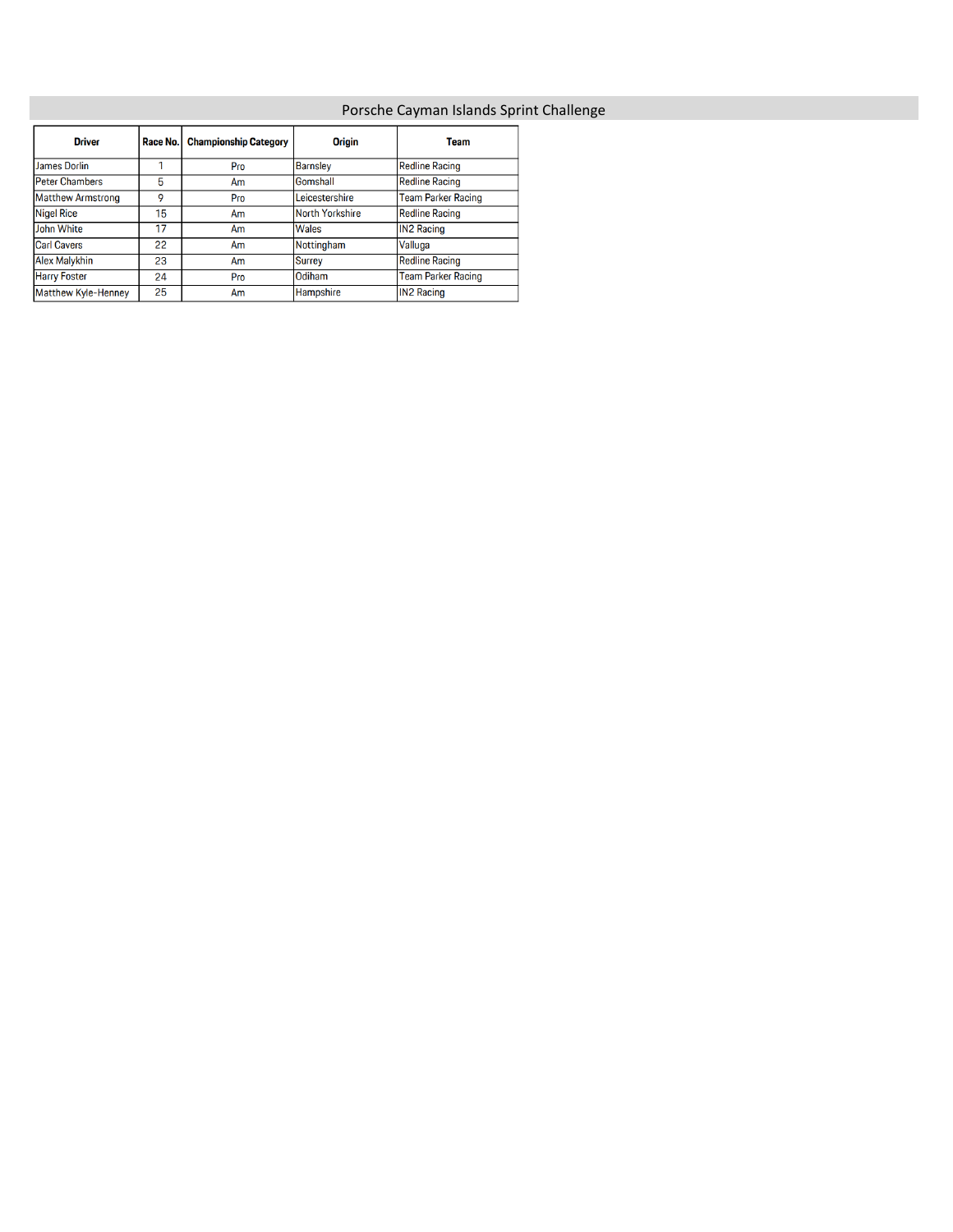## Porsche Cayman Islands Sprint Challenge

| <b>Driver</b>            | Race No. | <b>Championship Category</b> | <b>Origin</b>          | <b>Team</b>               |
|--------------------------|----------|------------------------------|------------------------|---------------------------|
| James Dorlin             |          | Pro                          | <b>Barnsley</b>        | <b>Redline Racing</b>     |
| <b>Peter Chambers</b>    | 5        | Am                           | Gomshall               | <b>Redline Racing</b>     |
| <b>Matthew Armstrong</b> | 9        | Pro                          | Leicestershire         | <b>Team Parker Racing</b> |
| <b>Nigel Rice</b>        | 15       | Am                           | <b>North Yorkshire</b> | <b>Redline Racing</b>     |
| <b>John White</b>        | 17       | Am                           | Wales                  | <b>IN2 Racing</b>         |
| <b>Carl Cavers</b>       | 22       | Am                           | Nottingham             | Valluga                   |
| <b>Alex Malykhin</b>     | 23       | Am                           | Surrey                 | <b>Redline Racing</b>     |
| <b>Harry Foster</b>      | 24       | Pro                          | Odiham                 | <b>Team Parker Racing</b> |
| Matthew Kyle-Henney      | 25       | Am                           | Hampshire              | <b>IN2 Racing</b>         |